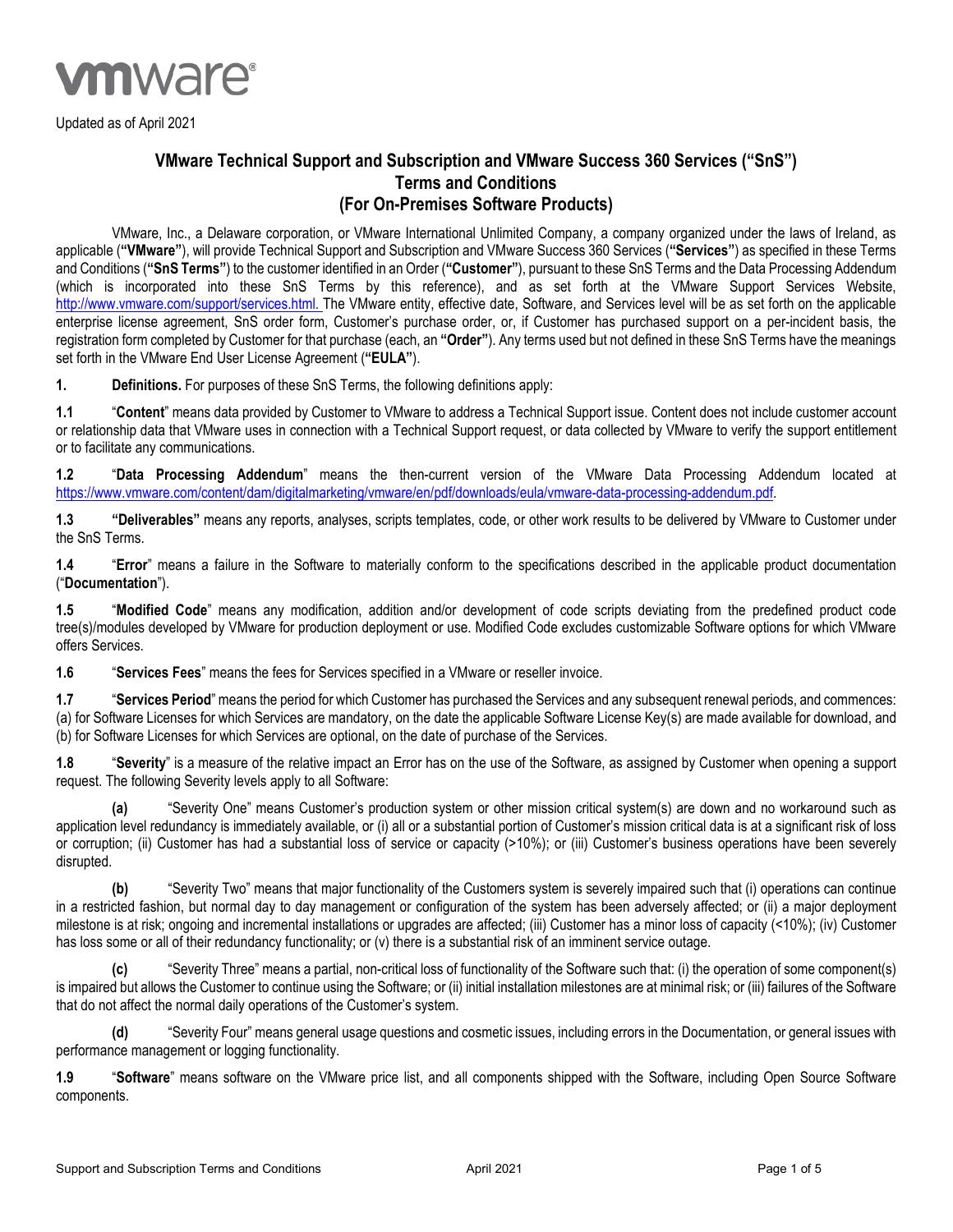

Updated as of April 2021

## **VMware Technical Support and Subscription and VMware Success 360 Services ("SnS") Terms and Conditions (For On-Premises Software Products)**

VMware, Inc., a Delaware corporation, or VMware International Unlimited Company, a company organized under the laws of Ireland, as applicable (**"VMware"**), will provide Technical Support and Subscription and VMware Success 360 Services (**"Services"**) as specified in these Terms and Conditions (**"SnS Terms"**) to the customer identified in an Order (**"Customer"**), pursuant to these SnS Terms and the Data Processing Addendum (which is incorporated into these SnS Terms by this reference), and as set forth at the VMware Support Services Website, [http://www.vmware.com/support/services.html.](http://www.vmware.com/support/services.html) The VMware entity, effective date, Software, and Services level will be as set forth on the applicable enterprise license agreement, SnS order form, Customer's purchase order, or, if Customer has purchased support on a per-incident basis, the registration form completed by Customer for that purchase (each, an **"Order"**). Any terms used but not defined in these SnS Terms have the meanings set forth in the VMware End User License Agreement (**"EULA"**).

**1. Definitions.** For purposes of these SnS Terms, the following definitions apply:

**1.1** "**Content**" means data provided by Customer to VMware to address a Technical Support issue. Content does not include customer account or relationship data that VMware uses in connection with a Technical Support request, or data collected by VMware to verify the support entitlement or to facilitate any communications.

**1.2** "**Data Processing Addendum**" means the then-current version of the VMware Data Processing Addendum located at [https://www.vmware.com/content/dam/digitalmarketing/vmware/en/pdf/downloads/eula/vmware-data-processing-addendum.pdf.](https://www.vmware.com/content/dam/digitalmarketing/vmware/en/pdf/downloads/eula/vmware-data-processing-addendum.pdf)

**1.3 "Deliverables"** means any reports, analyses, scripts templates, code, or other work results to be delivered by VMware to Customer under the SnS Terms.

**1.4** "**Error**" means a failure in the Software to materially conform to the specifications described in the applicable product documentation ("**Documentation**").

**1.5** "**Modified Code**" means any modification, addition and/or development of code scripts deviating from the predefined product code tree(s)/modules developed by VMware for production deployment or use. Modified Code excludes customizable Software options for which VMware offers Services.

**1.6** "**Services Fees**" means the fees for Services specified in a VMware or reseller invoice.

**1.7** "**Services Period**" means the period for which Customer has purchased the Services and any subsequent renewal periods, and commences: (a) for Software Licenses for which Services are mandatory, on the date the applicable Software License Key(s) are made available for download, and (b) for Software Licenses for which Services are optional, on the date of purchase of the Services.

**1.8** "**Severity**" is a measure of the relative impact an Error has on the use of the Software, as assigned by Customer when opening a support request. The following Severity levels apply to all Software:

**(a)** "Severity One" means Customer's production system or other mission critical system(s) are down and no workaround such as application level redundancy is immediately available, or (i) all or a substantial portion of Customer's mission critical data is at a significant risk of loss or corruption; (ii) Customer has had a substantial loss of service or capacity (>10%); or (iii) Customer's business operations have been severely disrupted.

**(b)** "Severity Two" means that major functionality of the Customers system is severely impaired such that (i) operations can continue in a restricted fashion, but normal day to day management or configuration of the system has been adversely affected; or (ii) a major deployment milestone is at risk; ongoing and incremental installations or upgrades are affected; (iii) Customer has a minor loss of capacity (<10%); (iv) Customer has loss some or all of their redundancy functionality; or (v) there is a substantial risk of an imminent service outage.

**(c)** "Severity Three" means a partial, non-critical loss of functionality of the Software such that: (i) the operation of some component(s) is impaired but allows the Customer to continue using the Software; or (ii) initial installation milestones are at minimal risk; or (iii) failures of the Software that do not affect the normal daily operations of the Customer's system.

**(d)** "Severity Four" means general usage questions and cosmetic issues, including errors in the Documentation, or general issues with performance management or logging functionality.

**1.9** "**Software**" means software on the VMware price list, and all components shipped with the Software, including Open Source Software components.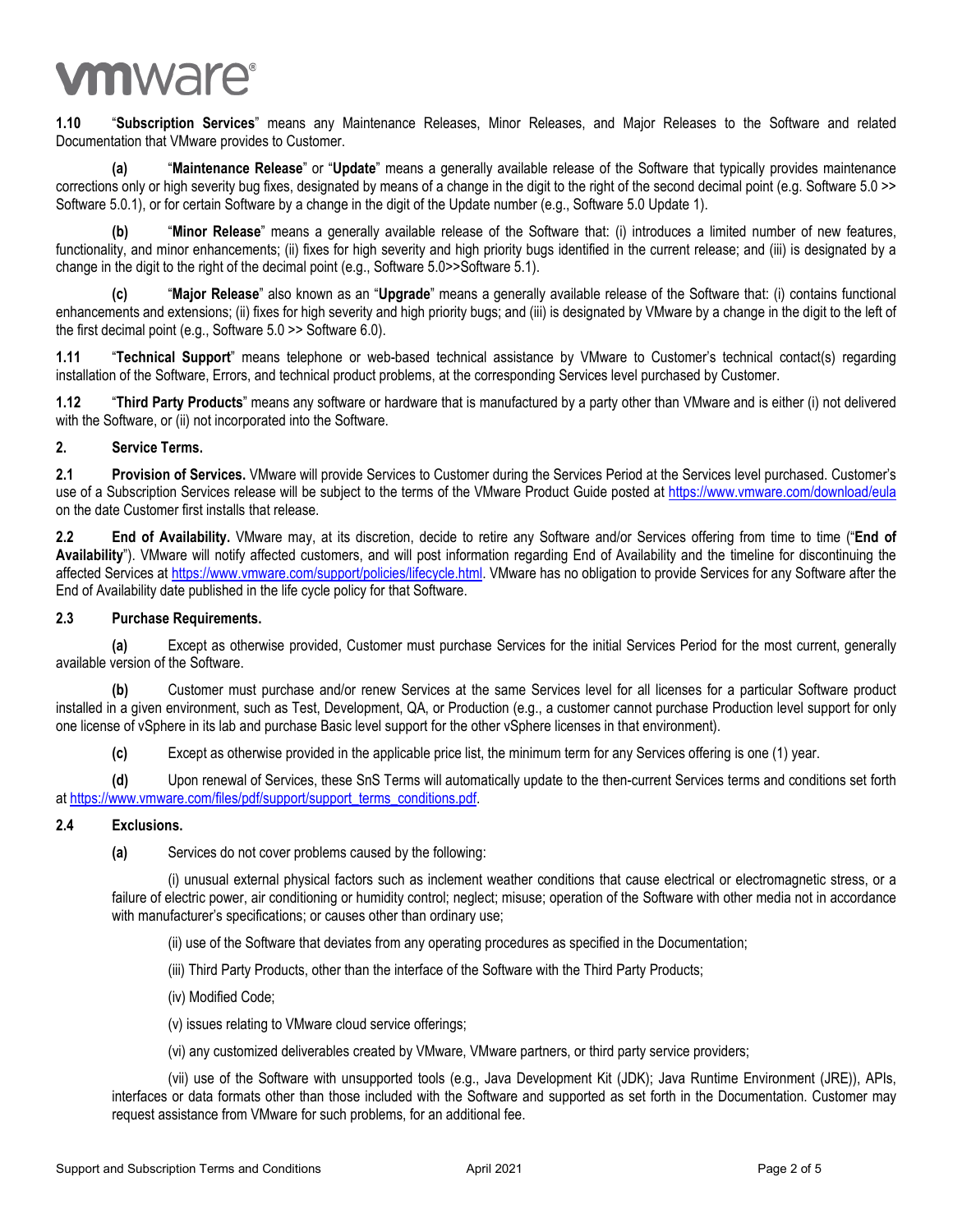# **vm**ware<sup>®</sup>

**1.10** "**Subscription Services**" means any Maintenance Releases, Minor Releases, and Major Releases to the Software and related Documentation that VMware provides to Customer.

**(a)** "**Maintenance Release**" or "**Update**" means a generally available release of the Software that typically provides maintenance corrections only or high severity bug fixes, designated by means of a change in the digit to the right of the second decimal point (e.g. Software 5.0 >> Software 5.0.1), or for certain Software by a change in the digit of the Update number (e.g., Software 5.0 Update 1).

**(b)** "**Minor Release**" means a generally available release of the Software that: (i) introduces a limited number of new features, functionality, and minor enhancements; (ii) fixes for high severity and high priority bugs identified in the current release; and (iii) is designated by a change in the digit to the right of the decimal point (e.g., Software 5.0>>Software 5.1).

**(c)** "**Major Release**" also known as an "**Upgrade**" means a generally available release of the Software that: (i) contains functional enhancements and extensions; (ii) fixes for high severity and high priority bugs; and (iii) is designated by VMware by a change in the digit to the left of the first decimal point (e.g., Software 5.0 >> Software 6.0).

**1.11** "**Technical Support**" means telephone or web-based technical assistance by VMware to Customer's technical contact(s) regarding installation of the Software, Errors, and technical product problems, at the corresponding Services level purchased by Customer.

**1.12** "**Third Party Products**" means any software or hardware that is manufactured by a party other than VMware and is either (i) not delivered with the Software, or (ii) not incorporated into the Software.

## **2. Service Terms.**

**2.1 Provision of Services.** VMware will provide Services to Customer during the Services Period at the Services level purchased. Customer's use of a Subscription Services release will be subject to the terms of the VMware Product Guide posted a[t https://www.vmware.com/download/eula](https://www.vmware.com/download/eula) on the date Customer first installs that release.

**2.2 End of Availability.** VMware may, at its discretion, decide to retire any Software and/or Services offering from time to time ("**End of Availability**"). VMware will notify affected customers, and will post information regarding End of Availability and the timeline for discontinuing the affected Services at [https://www.vmware.com/support/policies/lifecycle.html.](https://www.vmware.com/support/policies/lifecycle.html) VMware has no obligation to provide Services for any Software after the End of Availability date published in the life cycle policy for that Software.

#### **2.3 Purchase Requirements.**

**(a)** Except as otherwise provided, Customer must purchase Services for the initial Services Period for the most current, generally available version of the Software.

**(b)** Customer must purchase and/or renew Services at the same Services level for all licenses for a particular Software product installed in a given environment, such as Test, Development, QA, or Production (e.g., a customer cannot purchase Production level support for only one license of vSphere in its lab and purchase Basic level support for the other vSphere licenses in that environment).

**(c)** Except as otherwise provided in the applicable price list, the minimum term for any Services offering is one (1) year.

**(d)** Upon renewal of Services, these SnS Terms will automatically update to the then-current Services terms and conditions set forth at [https://www.vmware.com/files/pdf/support/support\\_terms\\_conditions.pdf.](https://www.vmware.com/files/pdf/support/support_terms_conditions.pdf)

#### **2.4 Exclusions.**

**(a)** Services do not cover problems caused by the following:

(i) unusual external physical factors such as inclement weather conditions that cause electrical or electromagnetic stress, or a failure of electric power, air conditioning or humidity control; neglect; misuse; operation of the Software with other media not in accordance with manufacturer's specifications; or causes other than ordinary use;

(ii) use of the Software that deviates from any operating procedures as specified in the Documentation;

(iii) Third Party Products, other than the interface of the Software with the Third Party Products;

- (iv) Modified Code;
- (v) issues relating to VMware cloud service offerings;

(vi) any customized deliverables created by VMware, VMware partners, or third party service providers;

(vii) use of the Software with unsupported tools (e.g., Java Development Kit (JDK); Java Runtime Environment (JRE)), APIs, interfaces or data formats other than those included with the Software and supported as set forth in the Documentation. Customer may request assistance from VMware for such problems, for an additional fee.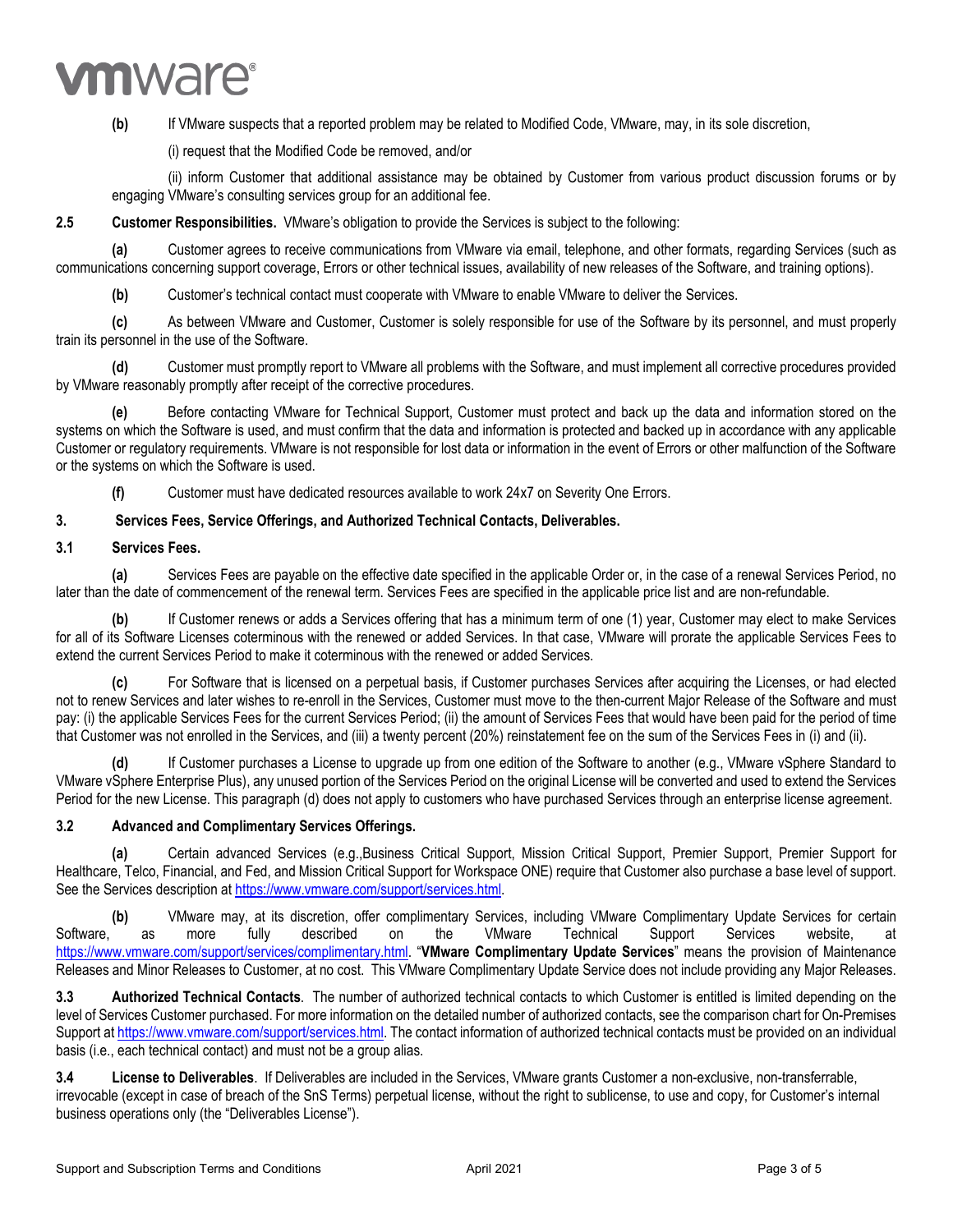# **vm**ware<sup>®</sup>

**(b)** If VMware suspects that a reported problem may be related to Modified Code, VMware, may, in its sole discretion,

(i) request that the Modified Code be removed, and/or

(ii) inform Customer that additional assistance may be obtained by Customer from various product discussion forums or by engaging VMware's consulting services group for an additional fee.

#### **2.5 Customer Responsibilities.** VMware's obligation to provide the Services is subject to the following:

**(a)** Customer agrees to receive communications from VMware via email, telephone, and other formats, regarding Services (such as communications concerning support coverage, Errors or other technical issues, availability of new releases of the Software, and training options).

**(b)** Customer's technical contact must cooperate with VMware to enable VMware to deliver the Services.

**(c)** As between VMware and Customer, Customer is solely responsible for use of the Software by its personnel, and must properly train its personnel in the use of the Software.

**(d)** Customer must promptly report to VMware all problems with the Software, and must implement all corrective procedures provided by VMware reasonably promptly after receipt of the corrective procedures.

**(e)** Before contacting VMware for Technical Support, Customer must protect and back up the data and information stored on the systems on which the Software is used, and must confirm that the data and information is protected and backed up in accordance with any applicable Customer or regulatory requirements. VMware is not responsible for lost data or information in the event of Errors or other malfunction of the Software or the systems on which the Software is used.

**(f)** Customer must have dedicated resources available to work 24x7 on Severity One Errors.

#### **3. Services Fees, Service Offerings, and Authorized Technical Contacts, Deliverables.**

#### **3.1 Services Fees.**

**(a)** Services Fees are payable on the effective date specified in the applicable Order or, in the case of a renewal Services Period, no later than the date of commencement of the renewal term. Services Fees are specified in the applicable price list and are non-refundable.

**(b)** If Customer renews or adds a Services offering that has a minimum term of one (1) year, Customer may elect to make Services for all of its Software Licenses coterminous with the renewed or added Services. In that case, VMware will prorate the applicable Services Fees to extend the current Services Period to make it coterminous with the renewed or added Services.

**(c)** For Software that is licensed on a perpetual basis, if Customer purchases Services after acquiring the Licenses, or had elected not to renew Services and later wishes to re-enroll in the Services, Customer must move to the then-current Major Release of the Software and must pay: (i) the applicable Services Fees for the current Services Period; (ii) the amount of Services Fees that would have been paid for the period of time that Customer was not enrolled in the Services, and (iii) a twenty percent (20%) reinstatement fee on the sum of the Services Fees in (i) and (ii).

**(d)** If Customer purchases a License to upgrade up from one edition of the Software to another (e.g., VMware vSphere Standard to VMware vSphere Enterprise Plus), any unused portion of the Services Period on the original License will be converted and used to extend the Services Period for the new License. This paragraph (d) does not apply to customers who have purchased Services through an enterprise license agreement.

#### **3.2 Advanced and Complimentary Services Offerings.**

**(a)** Certain advanced Services (e.g.,Business Critical Support, Mission Critical Support, Premier Support, Premier Support for Healthcare, Telco, Financial, and Fed, and Mission Critical Support for Workspace ONE) require that Customer also purchase a base level of support. See the Services description at [https://www.vmware.com/support/services.html.](https://www.vmware.com/support/services.html)

**(b)** VMware may, at its discretion, offer complimentary Services, including VMware Complimentary Update Services for certain Software, as more fully described on the VMware Technical Support Services website, at [https://www.vmware.com/support/services/complimentary.html.](https://www.vmware.com/support/services/complimentary.html) "**VMware Complimentary Update Services**" means the provision of Maintenance Releases and Minor Releases to Customer, at no cost. This VMware Complimentary Update Service does not include providing any Major Releases.

**3.3 Authorized Technical Contacts**. The number of authorized technical contacts to which Customer is entitled is limited depending on the level of Services Customer purchased. For more information on the detailed number of authorized contacts, see the comparison chart for On-Premises Support a[t https://www.vmware.com/support/services.html.](https://www.vmware.com/support/services.html) The contact information of authorized technical contacts must be provided on an individual basis (i.e., each technical contact) and must not be a group alias.

**3.4 License to Deliverables**. If Deliverables are included in the Services, VMware grants Customer a non-exclusive, non-transferrable, irrevocable (except in case of breach of the SnS Terms) perpetual license, without the right to sublicense, to use and copy, for Customer's internal business operations only (the "Deliverables License").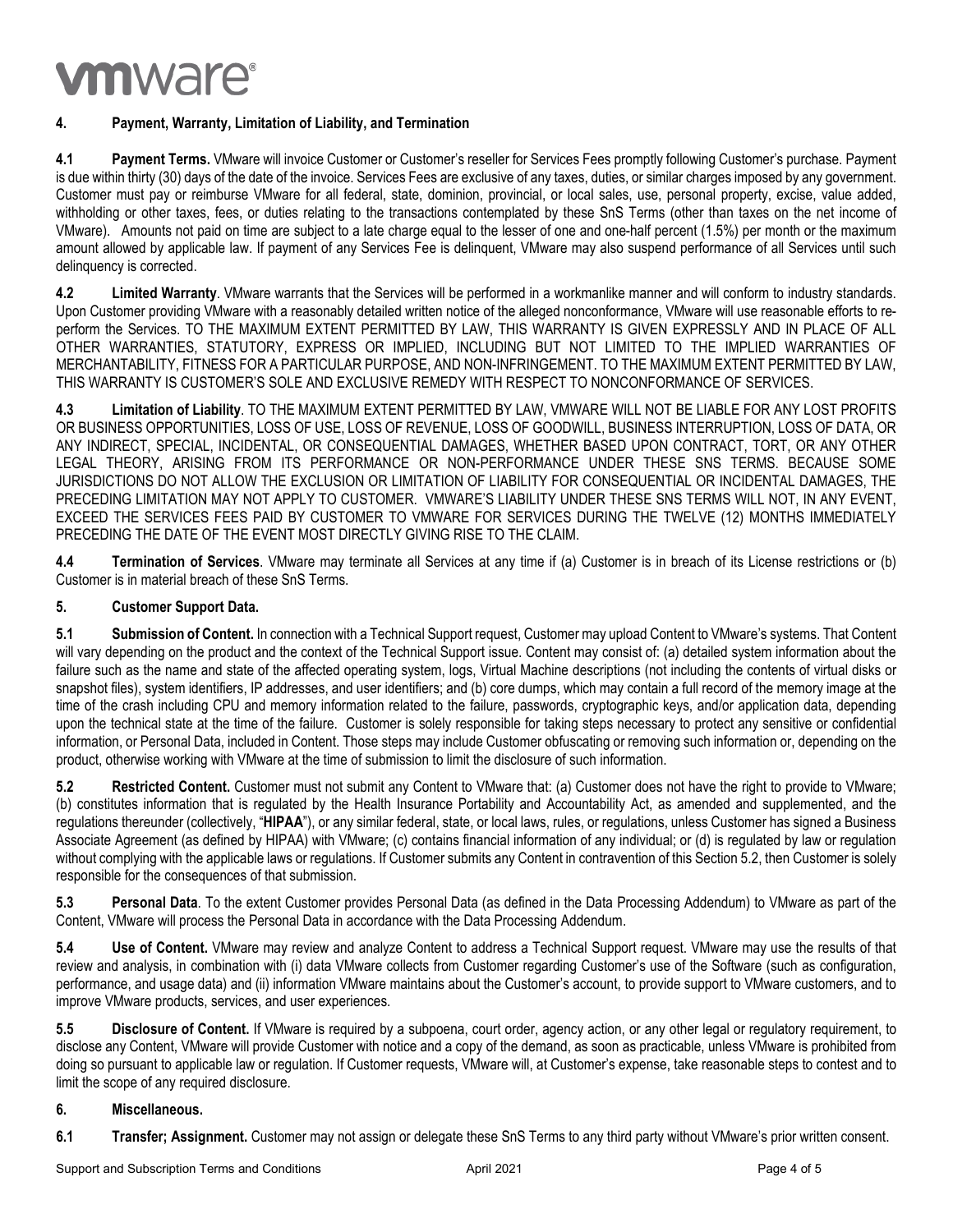# **vm**ware<sup>®</sup>

## **4. Payment, Warranty, Limitation of Liability, and Termination**

**4.1 Payment Terms.** VMware will invoice Customer or Customer's reseller for Services Fees promptly following Customer's purchase. Payment is due within thirty (30) days of the date of the invoice. Services Fees are exclusive of any taxes, duties, or similar charges imposed by any government. Customer must pay or reimburse VMware for all federal, state, dominion, provincial, or local sales, use, personal property, excise, value added, withholding or other taxes, fees, or duties relating to the transactions contemplated by these SnS Terms (other than taxes on the net income of VMware). Amounts not paid on time are subject to a late charge equal to the lesser of one and one-half percent (1.5%) per month or the maximum amount allowed by applicable law. If payment of any Services Fee is delinquent, VMware may also suspend performance of all Services until such delinquency is corrected.

**4.2 Limited Warranty**. VMware warrants that the Services will be performed in a workmanlike manner and will conform to industry standards. Upon Customer providing VMware with a reasonably detailed written notice of the alleged nonconformance, VMware will use reasonable efforts to reperform the Services. TO THE MAXIMUM EXTENT PERMITTED BY LAW, THIS WARRANTY IS GIVEN EXPRESSLY AND IN PLACE OF ALL OTHER WARRANTIES, STATUTORY, EXPRESS OR IMPLIED, INCLUDING BUT NOT LIMITED TO THE IMPLIED WARRANTIES OF MERCHANTABILITY, FITNESS FOR A PARTICULAR PURPOSE, AND NON-INFRINGEMENT. TO THE MAXIMUM EXTENT PERMITTED BY LAW, THIS WARRANTY IS CUSTOMER'S SOLE AND EXCLUSIVE REMEDY WITH RESPECT TO NONCONFORMANCE OF SERVICES.

**4.3 Limitation of Liability**. TO THE MAXIMUM EXTENT PERMITTED BY LAW, VMWARE WILL NOT BE LIABLE FOR ANY LOST PROFITS OR BUSINESS OPPORTUNITIES, LOSS OF USE, LOSS OF REVENUE, LOSS OF GOODWILL, BUSINESS INTERRUPTION, LOSS OF DATA, OR ANY INDIRECT, SPECIAL, INCIDENTAL, OR CONSEQUENTIAL DAMAGES, WHETHER BASED UPON CONTRACT, TORT, OR ANY OTHER LEGAL THEORY, ARISING FROM ITS PERFORMANCE OR NON-PERFORMANCE UNDER THESE SNS TERMS. BECAUSE SOME JURISDICTIONS DO NOT ALLOW THE EXCLUSION OR LIMITATION OF LIABILITY FOR CONSEQUENTIAL OR INCIDENTAL DAMAGES, THE PRECEDING LIMITATION MAY NOT APPLY TO CUSTOMER. VMWARE'S LIABILITY UNDER THESE SNS TERMS WILL NOT, IN ANY EVENT, EXCEED THE SERVICES FEES PAID BY CUSTOMER TO VMWARE FOR SERVICES DURING THE TWELVE (12) MONTHS IMMEDIATELY PRECEDING THE DATE OF THE EVENT MOST DIRECTLY GIVING RISE TO THE CLAIM.

**4.4 Termination of Services**. VMware may terminate all Services at any time if (a) Customer is in breach of its License restrictions or (b) Customer is in material breach of these SnS Terms.

### **5. Customer Support Data.**

**5.1 Submission of Content.** In connection with a Technical Support request, Customer may upload Content to VMware's systems. That Content will vary depending on the product and the context of the Technical Support issue. Content may consist of: (a) detailed system information about the failure such as the name and state of the affected operating system, logs, Virtual Machine descriptions (not including the contents of virtual disks or snapshot files), system identifiers, IP addresses, and user identifiers; and (b) core dumps, which may contain a full record of the memory image at the time of the crash including CPU and memory information related to the failure, passwords, cryptographic keys, and/or application data, depending upon the technical state at the time of the failure. Customer is solely responsible for taking steps necessary to protect any sensitive or confidential information, or Personal Data, included in Content. Those steps may include Customer obfuscating or removing such information or, depending on the product, otherwise working with VMware at the time of submission to limit the disclosure of such information.

**5.2 Restricted Content.** Customer must not submit any Content to VMware that: (a) Customer does not have the right to provide to VMware; (b) constitutes information that is regulated by the Health Insurance Portability and Accountability Act, as amended and supplemented, and the regulations thereunder (collectively, "**HIPAA**"), or any similar federal, state, or local laws, rules, or regulations, unless Customer has signed a Business Associate Agreement (as defined by HIPAA) with VMware; (c) contains financial information of any individual; or (d) is regulated by law or regulation without complying with the applicable laws or regulations. If Customer submits any Content in contravention of this Section 5.2, then Customer is solely responsible for the consequences of that submission.

**5.3 Personal Data**. To the extent Customer provides Personal Data (as defined in the Data Processing Addendum) to VMware as part of the Content, VMware will process the Personal Data in accordance with the Data Processing Addendum.

**5.4 Use of Content.** VMware may review and analyze Content to address a Technical Support request. VMware may use the results of that review and analysis, in combination with (i) data VMware collects from Customer regarding Customer's use of the Software (such as configuration, performance, and usage data) and (ii) information VMware maintains about the Customer's account, to provide support to VMware customers, and to improve VMware products, services, and user experiences.

**5.5 Disclosure of Content.** If VMware is required by a subpoena, court order, agency action, or any other legal or regulatory requirement, to disclose any Content, VMware will provide Customer with notice and a copy of the demand, as soon as practicable, unless VMware is prohibited from doing so pursuant to applicable law or regulation. If Customer requests, VMware will, at Customer's expense, take reasonable steps to contest and to limit the scope of any required disclosure.

#### **6. Miscellaneous.**

**6.1 Transfer; Assignment.** Customer may not assign or delegate these SnS Terms to any third party without VMware's prior written consent.